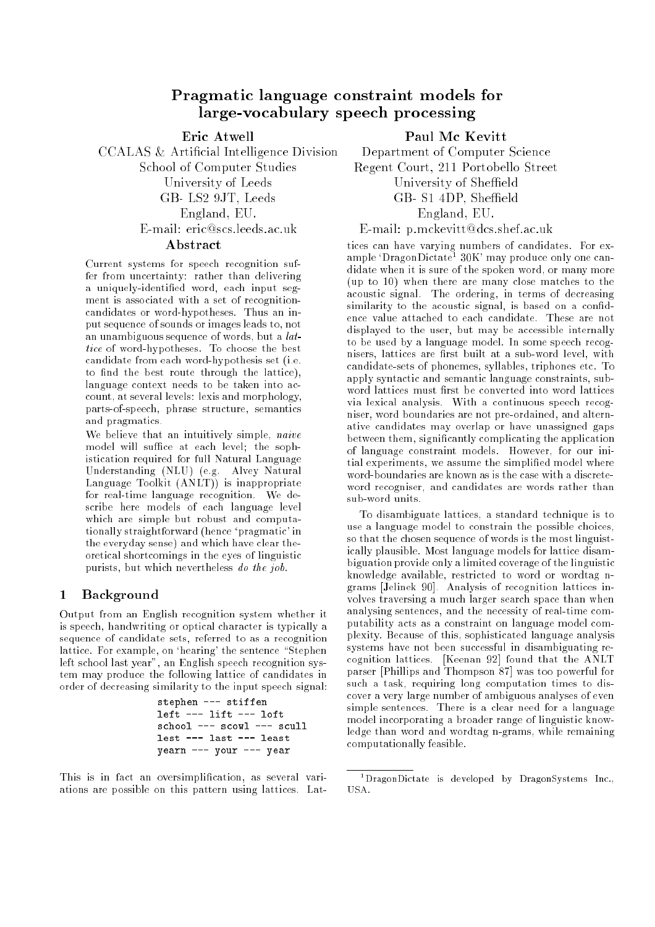# Pragmatic language constraint models for large-vocabulary speech processing

Eric Atwell

CCALAS & Articial Intelligence Division School of Computer Studies University of Leeds GB- LS2 9JT, Leeds England, EU.

#### England, EU. E-mail: eric@scs.leeds.ac.uk

### Abstract

Current systems for speech recognition suffer from uncertainty: rather than delivering a uniquely-identied word, each input segment is associated with a set of recognitioncandidates or word-hypotheses. Thus an input sequence of sounds or images leads to, not an unambiguous sequence of words, but a lattice of word-hypotheses. To choose the best candidate from each word-hypothesis set (i.e. to find the best route through the lattice), language context needs to be taken into account, at several levels: lexis and morphology, parts-of-speech, phrase structure, semantics and pragmatics.

We believe that an intuitively simple, *naive* model will suffice at each level; the sophistication required for full Natural Language Understanding (NLU) (e.g. Alvey Natural Language Toolkit (ANLT)) is inappropriate for real-time language recognition. We describe here models of each language level which are simple but robust and computationally straightforward (hence `pragmatic' in the everyday sense) and which have clear theoretical shortcomings in the eyes of linguistic purists, but which nevertheless do the job.

# 1 Background

Output from an English recognition system whether it is speech, handwriting or optical character is typically a sequence of candidate sets, referred to as a recognition lattice. For example, on 'hearing' the sentence "Stephen left school last year", an English speech recognition system may produce the following lattice of candidates in order of decreasing similarity to the input speech signal:

> stephen --- stiffen left --- lift --- loft school --- scowl --- scull lest --- last --- least yearn --- your --- year

This is in fact an oversimplification, as several variations are possible on this pattern using lattices. Lat-

# Paul Mc Kevitt

Department of Computer Science Regent Court, 211 Portobello Street University of Sheffield GB- S1 4DP, Sheffield England, EU. England, EU. E-mail: p.mckevitt@dcs.shef.ac.uk

tices can have varying numbers of candidates. For example 'DragonDictate<del>'</del> 30K' may produce only one candidate when it is sure of the spoken word, or many more (up to 10) when there are many close matches to the acoustic signal. The ordering, in terms of decreasing similarity to the acoustic signal, is based on a condence value attached to each candidate. These are not displayed to the user, but may be accessible internally to be used by a language model. In some speech recognisers, lattices are first built at a sub-word level, with candidate-sets of phonemes, syllables, triphones etc. To apply syntactic and semantic language constraints, subword lattices must first be converted into word lattices via lexical analysis. With a continuous speech recogniser, word boundaries are not pre-ordained, and alternative candidates may overlap or have unassigned gaps between them, signicantly complicating the application of language constraint models. However, for our initial experiments, we assume the simplied model where word-boundaries are known as is the case with a discreteword recogniser, and candidates are words rather than sub-word units.

To disambiguate lattices, a standard technique is to use a language model to constrain the possible choices, so that the chosen sequence of words is the most linguistically plausible. Most language models for lattice disambiguation provide only a limited coverage of the linguistic knowledge available, restricted to word or wordtag ngrams [Jelinek 90]. Analysis of recognition lattices involves traversing a much larger search space than when analysing sentences, and the necessity of real-time computability acts as a constraint on language model complexity. Because of this, sophisticated language analysis systems have not been successful in disambiguating recognition lattices. [Keenan 92] found that the ANLT parser [Phillips and Thompson 87] was too powerful for such a task, requiring long computation times to discover a very large number of ambiguous analyses of even simple sentences. There is a clear need for a language model incorporating a broader range of linguistic knowledge than word and wordtag n-grams, while remaining computationally feasible.

<sup>1</sup> DragonDictate is developed by DragonSystems Inc., USA.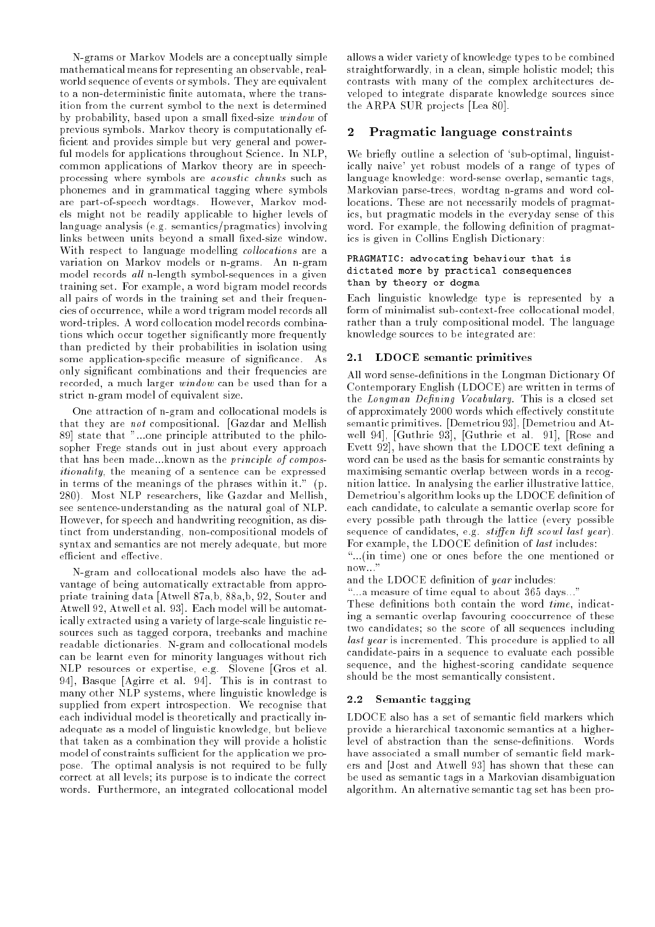N-grams or Markov Models are a conceptually simple mathematical means for representing an observable, realworld sequence of events or symbols. They are equivalent to a non-deterministic finite automata, where the transition from the current symbol to the next is determined by probability, based upon a small fixed-size  $window$  of previous symbols. Markov theory is computationally ef ficient and provides simple but very general and powerful models for applications throughout Science. In NLP, common applications of Markov theory are in speechprocessing where symbols are acoustic chunks such as phonemes and in grammatical tagging where symbols are part-of-speech wordtags. However, Markov models might not be readily applicable to higher levels of language analysis (e.g. semantics/pragmatics) involving links between units beyond a small fixed-size window. With respect to language modelling *collocations* are a variation on Markov models or n-grams. An n-gram model records all n-length symbol-sequences in a given training set. For example, a word bigram model records all pairs of words in the training set and their frequencies of occurrence, while a word trigram model records all word-triples. A word collocation model records combinations which occur together signicantly more frequently than predicted by their probabilities in isolation using some application-specific measure of significance. As only signicant combinations and their frequencies are recorded, a much larger window can be used than for a strict n-gram model of equivalent size.

One attraction of n-gram and collocational models is that they are not compositional. [Gazdar and Mellish 89] state that "...one principle attributed to the philosopher Frege stands out in just about every approach that has been made...known as the principle of compositionality, the meaning of a sentence can be expressed in terms of the meanings of the phrases within it." (p. 280). Most NLP researchers, like Gazdar and Mellish, see sentence-understanding as the natural goal of NLP. However, for speech and handwriting recognition, as distinct from understanding, non-compositional models of syntax and semantics are not merely adequate, but more efficient and effective.

N-gram and collocational models also have the advantage of being automatically extractable from appropriate training data [Atwell 87a,b, 88a,b, 92, Souter and Atwell 92, Atwell et al. 93]. Each model will be automatically extracted using a variety of large-scale linguistic resources such as tagged corpora, treebanks and machine readable dictionaries. N-gram and collocational models can be learnt even for minority languages without rich NLP resources or expertise, e.g. Slovene [Gros et al. 94], Basque [Agirre et al. 94]. This is in contrast to many other NLP systems, where linguistic knowledge is supplied from expert introspection. We recognise that each individual model is theoretically and practically inadequate as a model of linguistic knowledge, but believe that taken as a combination they will provide a holistic model of constraints sufficient for the application we propose. The optimal analysis is not required to be fully correct at all levels; its purpose is to indicate the correct words. Furthermore, an integrated collocational model

allows a wider variety of knowledge types to be combined straightforwardly, in a clean, simple holistic model; this contrasts with many of the complex architectures developed to integrate disparate knowledge sources since the ARPA SUR projects [Lea 80].

# Pragmatic language constraints

We briefly outline a selection of 'sub-optimal, linguistically naive' yet robust models of a range of types of language knowledge: word-sense overlap, semantic tags, Markovian parse-trees, wordtag n-grams and word collocations. These are not necessarily models of pragmatics, but pragmatic models in the everyday sense of this word. For example, the following definition of pragmatics is given in Collins English Dictionary:

#### PRAGMATIC: advocating behaviour that is dictated more by practical consequences than by theory or dogma

Each linguistic knowledge type is represented by a form of minimalist sub-context-free collocational model, rather than a truly compositional model. The language knowledge sources to be integrated are:

#### 2.1LDOCE semantic primitives

All word sense-definitions in the Longman Dictionary Of Contemporary English (LDOCE) are written in terms of the Longman Defining Vocabulary. This is a closed set of approximately 2000 words which effectively constitute semantic primitives. [Demetriou 93], [Demetriou and Atwell 94], [Guthrie 93], [Guthrie et al. 91], [Rose and Evett 92, have shown that the LDOCE text defining a word can be used as the basis for semantic constraints by maximising semantic overlap between words in a recognition lattice. In analysing the earlier illustrative lattice, Demetriou's algorithm looks up the LDOCE denition of each candidate, to calculate a semantic overlap score for every possible path through the lattice (every possible sequence of candidates, e.g.  $stiffen$  lift scowl last year). For example, the LDOCE definition of *last* includes:

\...(in time) one or ones before the one mentioned or now..."

and the LDOCE definition of year includes:

...a measure of time equal to about 365 days..."

These definitions both contain the word  $time$ , indicating a semantic overlap favouring cooccurrence of these two candidates; so the score of all sequences including last year is incremented. This procedure is applied to all candidate-pairs in a sequence to evaluate each possible sequence, and the highest-scoring candidate sequence should be the most semantically consistent.

## 2.2 Semantic tagging

LDOCE also has a set of semantic field markers which provide a hierarchical taxonomic semantics at a higherlevel of abstraction than the sense-definitions. Words have associated a small number of semantic field markers and [Jost and Atwell 93] has shown that these can be used as semantic tags in a Markovian disambiguation algorithm. An alternative semantic tag set has been pro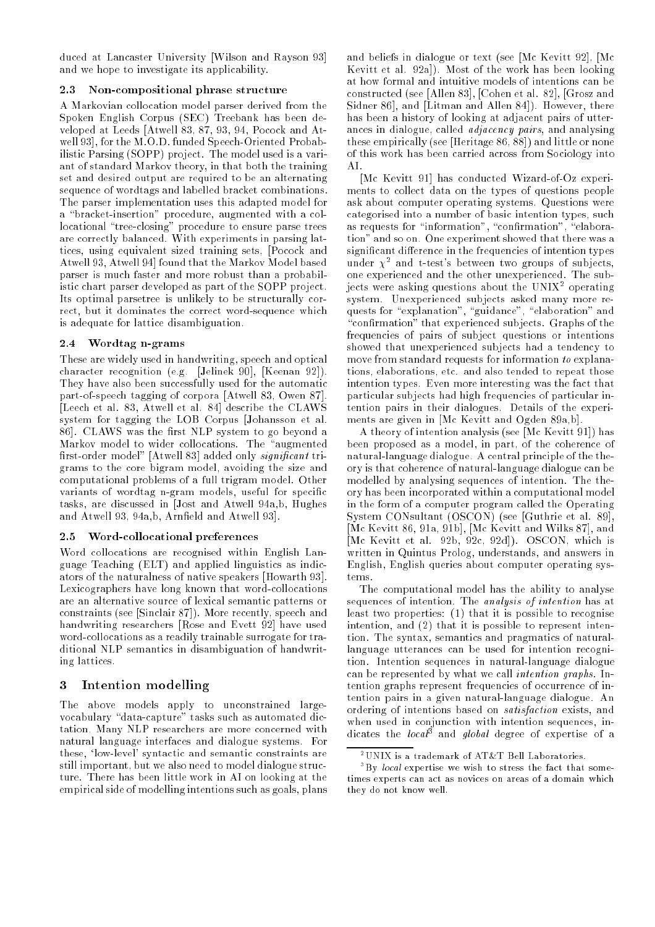duced at Lancaster University [Wilson and Rayson 93] and we hope to investigate its applicability.

### 2.3 Non-compositional phrase structure

A Markovian collocation model parser derived from the Spoken English Corpus (SEC) Treebank has been developed at Leeds [Atwell 83, 87, 93, 94, Pocock and Atwell 93], for the M.O.D. funded Speech-Oriented Probabilistic Parsing (SOPP) project. The model used is a variant of standard Markov theory, in that both the training set and desired output are required to be an alternating sequence of wordtags and labelled bracket combinations. The parser implementation uses this adapted model for a "bracket-insertion" procedure, augmented with a collocational "tree-closing" procedure to ensure parse trees are correctly balanced. With experiments in parsing lattices, using equivalent sized training sets, [Pocock and Atwell 93, Atwell 94] found that the Markov Model based parser is much faster and more robust than a probabilistic chart parser developed as part of the SOPP project. Its optimal parsetree is unlikely to be structurally correct, but it dominates the correct word-sequence which is adequate for lattice disambiguation.

### 2.4 Wordtag n-grams

These are widely used in handwriting, speech and optical character recognition (e.g. [Jelinek 90], [Keenan 92]). They have also been successfully used for the automatic part-of-speech tagging of corpora [Atwell 83, Owen 87]. [Leech et al. 83, Atwell et al. 84] describe the CLAWS system for tagging the LOB Corpus [Johansson et al. 86. CLAWS was the first NLP system to go beyond a Markov model to wider collocations. The "augmented first-order model" [Atwell 83] added only significant trigrams to the core bigram model, avoiding the size and computational problems of a full trigram model. Other variants of wordtag n-gram models, useful for specific tasks, are discussed in [Jost and Atwell 94a,b, Hughes and Atwell 93, 94a,b, Arneld and Atwell 93].

### 2.5 Word-collocational preferences

Word collocations are recognised within English Language Teaching (ELT) and applied linguistics as indicators of the naturalness of native speakers [Howarth 93]. Lexicographers have long known that word-collocations are an alternative source of lexical semantic patterns or constraints (see [Sinclair 87]). More recently, speech and handwriting researchers [Rose and Evett 92] have used word-collocations as a readily trainable surrogate for traditional NLP semantics in disambiguation of handwriting lattices.

# 3 Intention modelling

The above models apply to unconstrained largevocabulary "data-capture" tasks such as automated dictation. Many NLP researchers are more concerned with natural language interfaces and dialogue systems. For these, `low-level' syntactic and semantic constraints are still important, but we also need to model dialogue structure. There has been little work in AI on looking at the empirical side of modelling intentions such as goals, plans and beliefs in dialogue or text (see [Mc Kevitt 92], [Mc Kevitt et al. 92a]). Most of the work has been looking at how formal and intuitive models of intentions can be constructed (see [Allen 83], [Cohen et al. 82], [Grosz and Sidner 86], and [Litman and Allen 84]). However, there has been a history of looking at adjacent pairs of utterances in dialogue, called adjacency pairs, and analysing these empirically (see [Heritage 86, 88]) and little or none of this work has been carried across from Sociology into AL

[Mc Kevitt 91] has conducted Wizard-of-Oz experiments to collect data on the types of questions people ask about computer operating systems. Questions were categorised into a number of basic intention types, such as requests for "information", "confirmation", "elaboration" and so on. One experiment showed that there was a significant difference in the frequencies of intention types under  $y^2$  and t-test's between two groups of subjects. one experienced and the other unexperienced. The subjects were asking questions about the UNIX2 operating system. Unexperienced subjects asked many more requests for "explanation", "guidance", "elaboration" and "confirmation" that experienced subjects. Graphs of the frequencies of pairs of subject questions or intentions showed that unexperienced subjects had a tendency to move from standard requests for information to explanations, elaborations, etc. and also tended to repeat those intention types. Even more interesting was the fact that particular subjects had high frequencies of particular intention pairs in their dialogues. Details of the experiments are given in [Mc Kevitt and Ogden 89a,b].

A theory of intention analysis (see [Mc Kevitt 91]) has been proposed as a model, in part, of the coherence of natural-language dialogue. A central principle of the theory is that coherence of natural-language dialogue can be modelled by analysing sequences of intention. The theory has been incorporated within a computational model in the form of a computer program called the Operating System CONsultant (OSCON) (see [Guthrie et al. 89], [Mc Kevitt 86, 91a, 91b], [Mc Kevitt and Wilks 87], and [Mc Kevitt et al. 92b, 92c, 92d]). OSCON, which is written in Quintus Prolog, understands, and answers in English, English queries about computer operating systems.

The computational model has the ability to analyse sequences of intention. The analysis of intention has at least two properties: (1) that it is possible to recognise intention, and (2) that it is possible to represent intention. The syntax, semantics and pragmatics of naturallanguage utterances can be used for intention recognition. Intention sequences in natural-language dialogue can be represented by what we call intention graphs. Intention graphs represent frequencies of occurrence of intention pairs in a given natural-language dialogue. An ordering of intentions based on *satisfaction* exists, and when used in conjunction with intention sequences, indicates the *local* and *global* degree of expertise of a

<sup>2</sup> UNIX is a trademark of AT&T Bell Laboratories.

 $\,$  - By *local* expertise we wish to stress the fact that sometimes experts can act as novices on areas of a domain which they do not know well.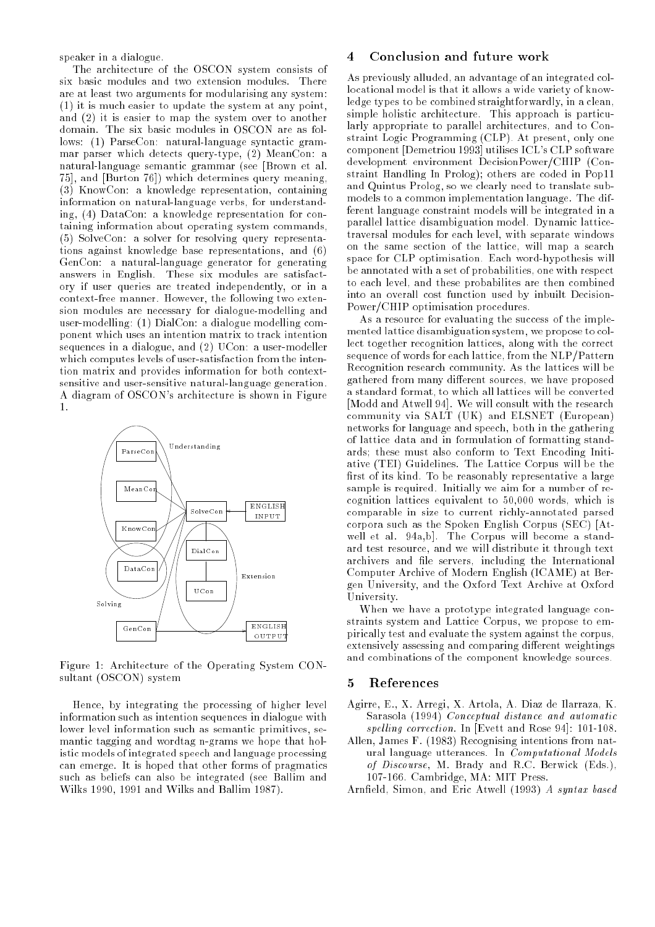speaker in a dialogue.

The architecture of the OSCON system consists of six basic modules and two extension modules. There are at least two arguments for modularising any system: (1) it is much easier to update the system at any point, and (2) it is easier to map the system over to another domain. The six basic modules in OSCON are as follows: (1) ParseCon: natural-language syntactic grammar parser which detects query-type, (2) MeanCon: a natural-language semantic grammar (see [Brown et al. 75], and [Burton 76]) which determines query meaning, (3) KnowCon: a knowledge representation, containing information on natural-language verbs, for understanding, (4) DataCon: a knowledge representation for containing information about operating system commands, (5) SolveCon: a solver for resolving query representations against knowledge base representations, and (6) GenCon: a natural-language generator for generating answers in English. These six modules are satisfactory if user queries are treated independently, or in a context-free manner. However, the following two extension modules are necessary for dialogue-modelling and user-modelling: (1) DialCon: a dialogue modelling component which uses an intention matrix to track intention sequences in a dialogue, and (2) UCon: a user-modeller which computes in the intense and intense intense intense intense tion matrix and provides information for both contextsensitive and user-sensitive natural-language generation. A diagram of OSCON's architecture is shown in Figure  $\mathbf{1}$ 



Figure 1: Architecture of the Operating System CONsultant (OSCON) system

Hence, by integrating the processing of higher level information such as intention sequences in dialogue with lower level information such as semantic primitives, semantic tagging and wordtag n-grams we hope that holistic models of integrated speech and language processing can emerge. It is hoped that other forms of pragmatics such as beliefs can also be integrated (see Ballim and Wilks 1990, 1991 and Wilks and Ballim 1987).

#### Conclusion and future work  $\overline{4}$

As previously alluded, an advantage of an integrated collocational model is that it allows a wide variety of knowledge types to be combined straightforwardly, in a clean, simple holistic architecture. This approach is particularly appropriate to parallel architectures, and to Constraint Logic Programming (CLP). At present, only one component [Demetriou 1993] utilises ICL's CLP software development environment DecisionPower/CHIP (Constraint Handling In Prolog); others are coded in Pop11 and Quintus Prolog, so we clearly need to translate submodels to a common implementation language. The different language constraint models will be integrated in a parallel lattice disambiguation model. Dynamic latticetraversal modules for each level, with separate windows on the same section of the lattice, will map a search space for CLP optimisation. Each word-hypothesis will be annotated with a set of probabilities, one with respect to each level, and these probabilites are then combined into an overall cost function used by inbuilt Decision-Power/CHIP optimisation procedures.

As a resource for evaluating the success of the implemented lattice disambiguation system, we propose to collect together recognition lattices, along with the correct sequence of words for each lattice, from the NLP/Pattern Recognition research community. As the lattices will be gathered from many different sources, we have proposed a standard format, to which all lattices will be converted [Modd and Atwell 94]. We will consult with the research community via SALT (UK) and ELSNET (European) networks for language and speech, both in the gathering of lattice data and in formulation of formatting standards; these must also conform to Text Encoding Initiative (TEI) Guidelines. The Lattice Corpus will be the first of its kind. To be reasonably representative a large sample is required. Initially we aim for a number of recognition lattices equivalent to 50,000 words, which is comparable in size to current richly-annotated parsed corpora such as the Spoken English Corpus (SEC) [Atwell et al. 94a,b]. The Corpus will become a standard test resource, and we will distribute it through text archivers and file servers, including the International Computer Archive of Modern English (ICAME) at Bergen University, and the Oxford Text Archive at Oxford University.

When we have a prototype integrated language constraints system and Lattice Corpus, we propose to empirically test and evaluate the system against the corpus, extensively assessing and comparing different weightings and combinations of the component knowledge sources.

#### $\mathbf{5}$ **References**

- Agirre, E., X. Arregi, X. Artola, A. Diaz de Ilarraza, K. Sarasola (1994) Conceptual distance and automatic spelling correction. In [Evett and Rose 94]: 101-108.
- Allen, James F. (1983) Recognising intentions from natural language utterances. In Computational Models of Discourse, M. Brady and R.C. Berwick (Eds.), 107-166. Cambridge, MA: MIT Press.
- Arnfield, Simon, and Eric Atwell (1993) A syntax based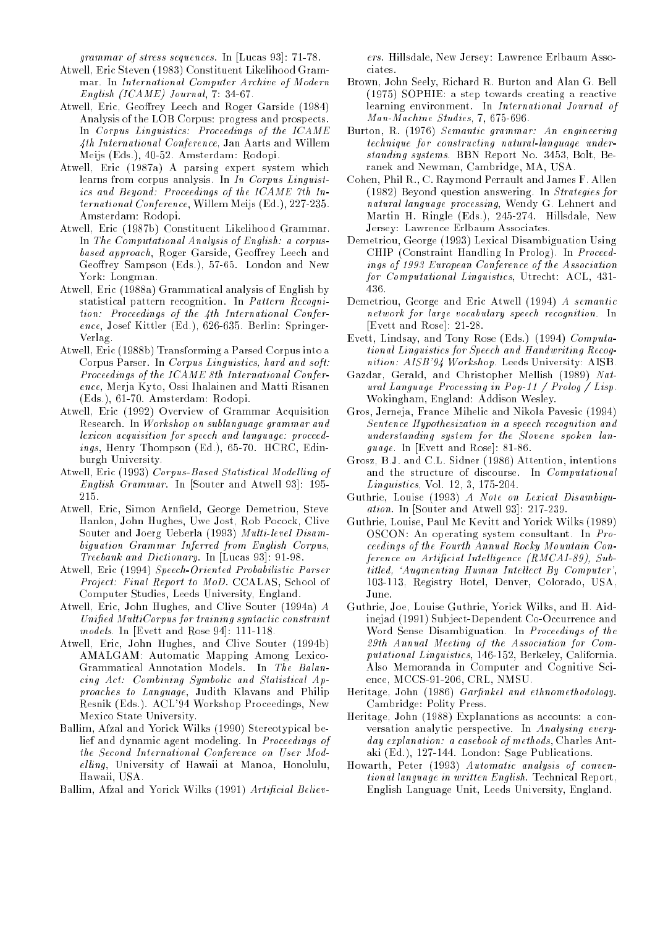grammar of stress sequences. In [Lucas 93]: 71-78.

- Atwell, Eric Steven (1983) Constituent Likelihood Grammar. In International Computer Archive of Modern English (ICAME) Journal, 7: 34-67.
- Atwell, Eric, Geoffrey Leech and Roger Garside (1984) Analysis of the LOB Corpus: progress and prospects. In Corpus Linguistics: Proceedings of the ICAME 4th International Conference, Jan Aarts and Willem Meijs (Eds.), 40-52. Amsterdam: Rodopi.
- Atwell, Eric (1987a) A parsing expert system which learns from corpus analysis. In In Corpus Linguistics and Beyond: Proceedings of the ICAME 7th International Conference, Willem Meijs (Ed.), 227-235. Amsterdam: Rodopi.
- Atwell, Eric (1987b) Constituent Likelihood Grammar. In The Computational Analysis of English: a corpusbased approach, Roger Garside, Geoffrey Leech and Geoffrey Sampson (Eds.), 57-65. London and New York: Longman.
- Atwell, Eric (1988a) Grammatical analysis of English by statistical pattern recognition. In Pattern Recognition: Proceedings of the 4th International Conference, Josef Kittler (Ed.), 626-635. Berlin: Springer-Verlag.
- Atwell, Eric (1988b) Transforming a Parsed Corpus into a Corpus Parser. In Corpus Linguistics, hard and soft: Proceedings of the ICAME 8th International Conference, Merja Kyto, Ossi Ihalainen and Matti Risanen (Eds.), 61-70. Amsterdam: Rodopi.
- Atwell, Eric (1992) Overview of Grammar Acquisition Research. In Workshop on sublanguage grammar and lexicon acquisition for speech and language: proceedings, Henry Thompson (Ed.), 65-70. HCRC, Edinburgh University.
- Atwell, Eric (1993) Corpus-Based Statistical Modelling of English Grammar. In [Souter and Atwell 93]: 195- 215.
- Atwell, Eric, Simon Arnfield, George Demetriou, Steve Hanlon, John Hughes, Uwe Jost, Rob Pocock, Clive Souter and Joerg Ueberla (1993) Multi-level Disambiguation Grammar Inferred from English Corpus, Treebank and Dictionary. In [Lucas 93]: 91-98.
- Atwell, Eric (1994) Speech-Oriented Probabilistic Parser Project: Final Report to MoD. CCALAS, School of Computer Studies, Leeds University, England.
- Atwell, Eric, John Hughes, and Clive Souter (1994a) A Unied MultiCorpus for training syntactic constraint models. In [Evett and Rose 94]: 111-118.
- Atwell, Eric, John Hughes, and Clive Souter (1994b) AMALGAM: Automatic Mapping Among Lexico-Grammatical Annotation Models. In The Balancing Act: Combining Symbolic and Statistical Approaches to Language, Judith Klavans and Philip Resnik (Eds.). ACL'94 Workshop Proceedings, New Mexico State University.
- Ballim, Afzal and Yorick Wilks (1990) Stereotypical belief and dynamic agent modeling. In Proceedings of the Second International Conference on User Modelling, University of Hawaii at Manoa, Honolulu, Hawaii, USA.

Ballim, Afzal and Yorick Wilks (1991) Artificial Believ-

ers. Hillsdale, New Jersey: Lawrence Erlbaum Associates.

- Brown, John Seely, Richard R. Burton and Alan G. Bell (1975) SOPHIE: a step towards creating a reactive learning environment. In International Journal of Man-Machine Studies, 7, 675-696.
- Burton, R. (1976) Semantic grammar: An engineering technique for constructing natural-language understanding systems. BBN Report No. 3453, Bolt, Beranek and Newman, Cambridge, MA, USA.
- Cohen, Phil R., C. Raymond Perrault and James F. Allen (1982) Beyond question answering. In Strategies for natural language processing, Wendy G. Lehnert and G. Martin H. Ringle (Eds.), 245-274. Hillsdale, New Jersey: Lawrence Erlbaum Associates.
- Demetriou, George (1993) Lexical Disambiguation Using CHIP (Constraint Handling In Prolog). In Proceedings of 1993 European Conference of the Association for Computational Linguistics, Utrecht: ACL, 431- 436
- Demetriou, George and Eric Atwell (1994) A semantic network for large vocabulary speech recognition. In [Evett and Rose]: 21-28.
- Evett, Lindsay, and Tony Rose (Eds.) (1994) Computational Linguistics for Speech and Handwriting Recognition: AISB'94 Workshop. Leeds University: AISB.
- Gazdar, Gerald, and Christopher Mellish (1989) Natural Language Processing in Pop-11 / Prolog / Lisp. Wokingham, England: Addison Wesley.
- Gros, Jerneja, France Mihelic and Nikola Pavesic (1994) Sentence Hypothesization in a speech recognition and understanding system for the Slovene spoken language. In [Evett and Rose]: 81-86.
- Grosz, B.J. and C.L. Sidner (1986) Attention, intentions and the structure of discourse. In Computational Linguistics, Vol. 12, 3, 175-204.
- Guthrie, Louise (1993) A Note on Lexical Disambiguation. In [Souter and Atwell 93]: 217-239.
- Guthrie, Louise, Paul Mc Kevitt and Yorick Wilks (1989) OSCON: An operating system consultant. In Proceedings of the Fourth Annual Rocky Mountain Conference on Artificial Intelligence (RMCAI-89), Subtitled, 'Augmenting Human Intellect By Computer', 103-113, Registry Hotel, Denver, Colorado, USA, June.
- Guthrie, Joe, Louise Guthrie, Yorick Wilks, and H. Aidinejad (1991) Subject-Dependent Co-Occurrence and Word Sense Disambiguation. In Proceedings of the 29th Annual Meeting of the Association for Computational Linguistics, 146-152, Berkeley, California. Also Memoranda in Computer and Cognitive Science, MCCS-91-206, CRL, NMSU.
- Heritage, John (1986) Garfinkel and ethnomethodology. Cambridge: Polity Press.
- Heritage, John (1988) Explanations as accounts: a conversation analytic perspective. In Analysing everyday explanation: a casebook of methods, Charles Antaki (Ed.), 127-144. London: Sage Publications.
- Howarth, Peter (1993) Automatic analysis of conventional language in written English. Technical Report, English Language Unit, Leeds University, England.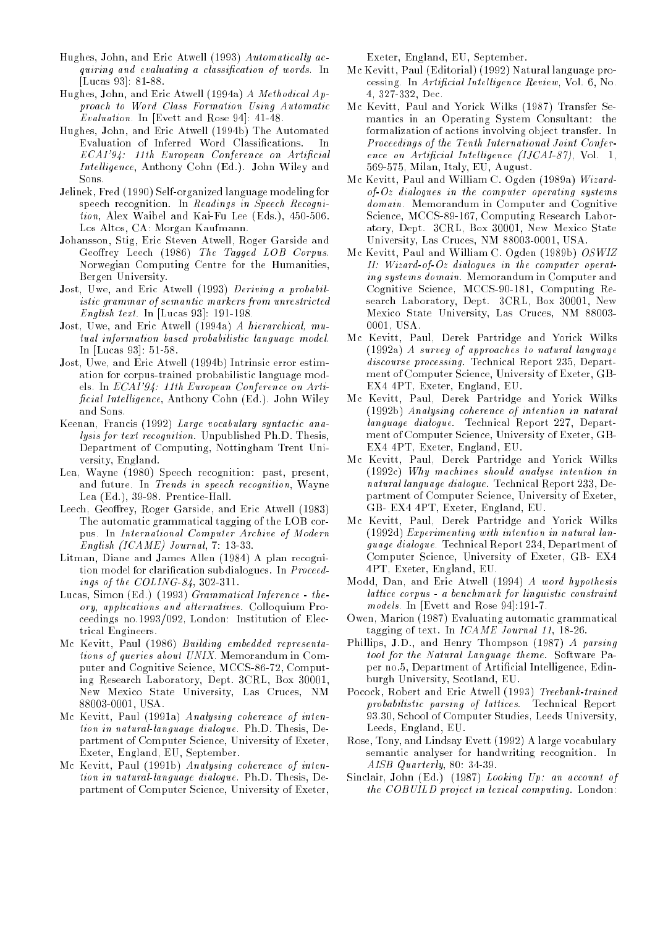- Hughes, John, and Eric Atwell (1993)  $\it{Automatically ac-}$ quiring and evaluating a classication of words. In [Lucas 93]: 81-88.
- Hughes, John, and Eric Atwell (1994a) A Methodical Approach to Word Class Formation Using Automatic Evaluation. In [Evett and Rose 94]: 41-48.
- Hughes, John, and Eric Atwell (1994b) The Automated Evaluation of Inferred Word Classifications.  $\mathbf{In}$ ECAI'94: 11th European Conference on Artificial Intelligence, Anthony Cohn (Ed.). John Wiley and Sons.
- Jelinek, Fred (1990) Self-organized language modeling for speech recognition. In Readings in Speech Recognition, Alex Waibel and Kai-Fu Lee (Eds.), 450-506. Los Altos, CA: Morgan Kaufmann.
- Johansson, Stig, Eric Steven Atwell, Roger Garside and Geoffrey Leech (1986) The Tagged LOB Corpus. Norwegian Computing Centre for the Humanities, Bergen University.
- Jost, Uwe, and Eric Atwell (1993) Deriving a probabilistic grammar of semantic markers from unrestricted English text. In [Lucas 93]: 191-198.
- Jost, Uwe, and Eric Atwell (1994a) A hierarchical, mutual information based probabilistic language model. In [Lucas 93]: 51-58.
- Jost, Uwe, and Eric Atwell (1994b) Intrinsic error estimation for corpus-trained probabilistic language models. In ECAI'94: 11th European Conference on Arti  $ficial Intelligence$ , Anthony Cohn (Ed.). John Wiley and Sons.
- Keenan, Francis (1992) Large vocabulary syntactic analysis for text recognition. Unpublished Ph.D. Thesis, Department of Computing, Nottingham Trent University, England.
- Lea, Wayne (1980) Speech recognition: past, present, and future. In Trends in speech recognition, Wayne Lea (Ed.), 39-98. Prentice-Hall.
- Leech, Geoffrey, Roger Garside, and Eric Atwell (1983) The automatic grammatical tagging of the LOB corpus. In International Computer Archive of Modern English (ICAME) Journal, 7: 13-33.
- Litman, Diane and James Allen (1984) A plan recognition model for clarification subdialogues. In Proceedings of the COLING-84, 302-311.
- Lucas, Simon (Ed.) (1993) Grammatical Inference theory, applications and alternatives. Colloquium Proceedings no.1993/092, London: Institution of Electrical Engineers.
- Mc Kevitt, Paul (1986) Building embedded representations of queries about UNIX. Memorandum in Computer and Cognitive Science, MCCS-86-72, Computing Research Laboratory, Dept. 3CRL, Box 30001, New Mexico State University, Las Cruces, NM 88003-0001, USA.
- Mc Kevitt, Paul (1991a) Analysing coherence of intention in natural-language dialogue. Ph.D. Thesis, Department of Computer Science, University of Exeter, Exeter, England, EU, September.
- Mc Kevitt, Paul (1991b) Analysing coherence of intention in natural-language dialogue. Ph.D. Thesis, Department of Computer Science, University of Exeter,

Exeter, England, EU, September.

- Mc Kevitt, Paul (Editorial) (1992) Natural language processing. In Artificial Intelligence Review, Vol. 6, No. 4, 327-332, Dec.
- Mc Kevitt, Paul and Yorick Wilks (1987) Transfer Semantics in an Operating System Consultant: the formalization of actions involving object transfer. In Proceedings of the Tenth International Joint Conference on Artificial Intelligence (IJCAI-87), Vol. 1, 569-575, Milan, Italy, EU, August.
- Mc Kevitt, Paul and William C. Ogden (1989a) Wizard $of Oz$  dialogues in the computer operating systems domain. Memorandum in Computer and Cognitive Science, MCCS-89-167, Computing Research Laboratory, Dept. 3CRL, Box 30001, New Mexico State University, Las Cruces, NM 88003-0001, USA.
- Mc Kevitt, Paul and William C. Ogden (1989b) OSWIZ II: Wizard-of-Oz dialogues in the computer operating systems domain. Memorandum in Computer and Cognitive Science, MCCS-90-181, Computing Research Laboratory, Dept. 3CRL, Box 30001, New Mexico State University, Las Cruces, NM 88003- 0001, USA.
- Mc Kevitt, Paul, Derek Partridge and Yorick Wilks (1992a) A survey of approaches to natural language discourse processing. Technical Report 235, Department of Computer Science, University of Exeter, GB-EX4 4PT, Exeter, England, EU.
- Mc Kevitt, Paul, Derek Partridge and Yorick Wilks (1992b) Analysing coherence of intention in natural language dialogue. Technical Report 227, Department of Computer Science, University of Exeter, GB-EX4 4PT, Exeter, England, EU.
- Mc Kevitt, Paul, Derek Partridge and Yorick Wilks (1992c) Why machines should analyse intention in natural language dialogue. Technical Report 233, Department of Computer Science, University of Exeter, GB- EX4 4PT, Exeter, England, EU.
- Mc Kevitt, Paul, Derek Partridge and Yorick Wilks (1992d) Experimenting with intention in natural language dialogue. Technical Report 234, Department of Computer Science, University of Exeter, GB- EX4 4PT, Exeter, England, EU.
- Modd, Dan, and Eric Atwell (1994) A word hypothesis lattice corpus - a benchmark for linguistic constraint models. In [Evett and Rose 94]:191-7.
- Owen, Marion (1987) Evaluating automatic grammatical tagging of text. In ICAME Journal 11, 18-26.
- Phillips, J.D., and Henry Thompson (1987) A parsing tool for the Natural Language theme. Software Paper no.5, Department of Artificial Intelligence, Edinburgh University, Scotland, EU.
- Pocock, Robert and Eric Atwell (1993) Treebank-trained probabilistic parsing of lattices. Technical Report 93.30, School of Computer Studies, Leeds University, Leeds, England, EU.
- Rose, Tony, and Lindsay Evett (1992) A large vocabulary semantic analyser for handwriting recognition. In AISB Quarterly, 80: 34-39.
- Sinclair, John (Ed.) (1987) Looking Up: an account of the COBUILD project in lexical computing. London: